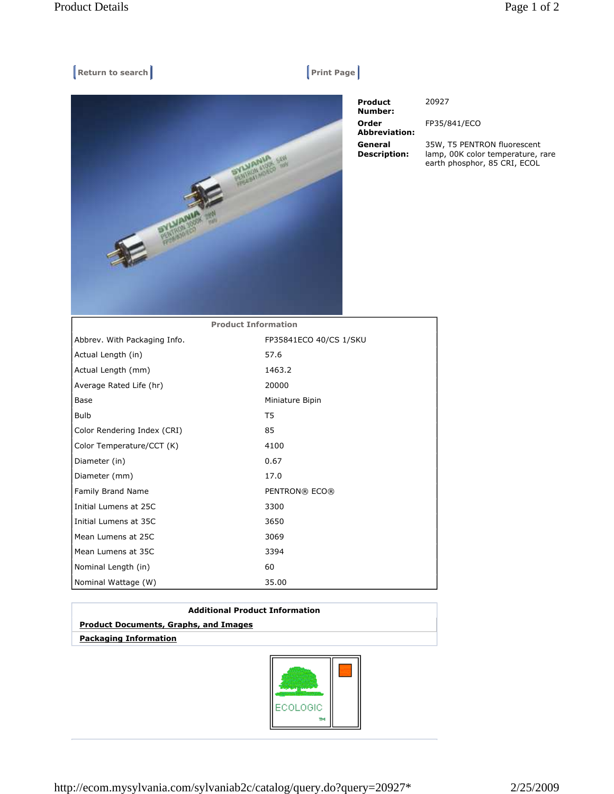## $[$  Return to search **Print Page**



 Product Number: Order Abbreviation: General Description:

20927

FP35/841/ECO

35W, T5 PENTRON fluorescent lamp, 00K color temperature, rare earth phosphor, 85 CRI, ECOL

| <b>Product Information</b>   |                        |
|------------------------------|------------------------|
| Abbrev. With Packaging Info. | FP35841ECO 40/CS 1/SKU |
| Actual Length (in)           | 57.6                   |
| Actual Length (mm)           | 1463.2                 |
| Average Rated Life (hr)      | 20000                  |
| Base                         | Miniature Bipin        |
| <b>Bulb</b>                  | T5                     |
| Color Rendering Index (CRI)  | 85                     |
| Color Temperature/CCT (K)    | 4100                   |
| Diameter (in)                | 0.67                   |
| Diameter (mm)                | 17.0                   |
| Family Brand Name            | PENTRON® ECO®          |
| Initial Lumens at 25C        | 3300                   |
| Initial Lumens at 35C        | 3650                   |
| Mean Lumens at 25C           | 3069                   |
| Mean Lumens at 35C           | 3394                   |
| Nominal Length (in)          | 60                     |
| Nominal Wattage (W)          | 35.00                  |

| <b>Additional Product Information</b>        |  |
|----------------------------------------------|--|
| <b>Product Documents, Graphs, and Images</b> |  |
| <b>Packaging Information</b>                 |  |